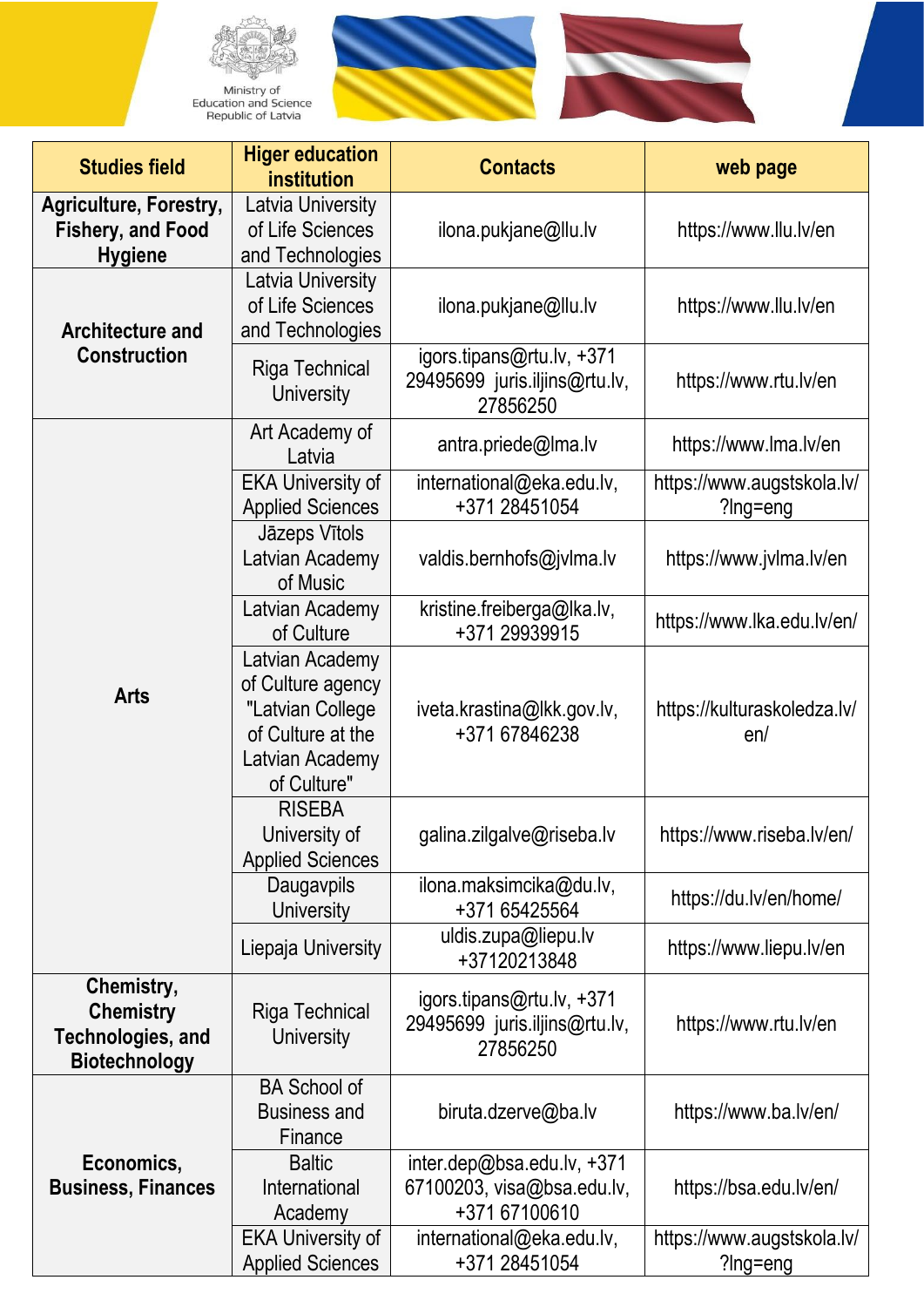





| <b>Studies field</b>                                                        | <b>Higer education</b><br>institution                                                                           | <b>Contacts</b>                                                            | web page                               |
|-----------------------------------------------------------------------------|-----------------------------------------------------------------------------------------------------------------|----------------------------------------------------------------------------|----------------------------------------|
| Agriculture, Forestry,<br><b>Fishery, and Food</b><br><b>Hygiene</b>        | Latvia University<br>of Life Sciences<br>and Technologies                                                       | ilona.pukjane@llu.lv                                                       | https://www.llu.lv/en                  |
| Architecture and<br><b>Construction</b>                                     | Latvia University<br>of Life Sciences<br>and Technologies                                                       | ilona.pukjane@llu.lv                                                       | https://www.llu.lv/en                  |
|                                                                             | Riga Technical<br><b>University</b>                                                                             | igors.tipans@rtu.lv, +371<br>29495699 juris.iljins@rtu.lv,<br>27856250     | https://www.rtu.lv/en                  |
|                                                                             | Art Academy of<br>Latvia                                                                                        | antra.priede@lma.lv                                                        | https://www.lma.lv/en                  |
|                                                                             | <b>EKA University of</b><br><b>Applied Sciences</b>                                                             | international@eka.edu.lv,<br>+371 28451054                                 | https://www.augstskola.lv/<br>?Ing=eng |
|                                                                             | Jāzeps Vītols<br>Latvian Academy<br>of Music                                                                    | valdis.bernhofs@jvlma.lv                                                   | https://www.jvlma.lv/en                |
|                                                                             | Latvian Academy<br>of Culture                                                                                   | kristine.freiberga@lka.lv,<br>+371 29939915                                | https://www.lka.edu.lv/en/             |
| <b>Arts</b>                                                                 | Latvian Academy<br>of Culture agency<br>"Latvian College<br>of Culture at the<br>Latvian Academy<br>of Culture" | iveta.krastina@lkk.gov.lv,<br>+371 67846238                                | https://kulturaskoledza.lv/<br>en/     |
|                                                                             | <b>RISEBA</b><br>University of<br><b>Applied Sciences</b>                                                       | galina.zilgalve@riseba.lv                                                  | https://www.riseba.lv/en/              |
|                                                                             | Daugavpils<br><b>University</b>                                                                                 | ilona.maksimcika@du.lv,<br>+371 65425564                                   | https://du.lv/en/home/                 |
|                                                                             | Liepaja University                                                                                              | uldis.zupa@liepu.lv<br>+37120213848                                        | https://www.liepu.lv/en                |
| Chemistry,<br><b>Chemistry</b><br>Technologies, and<br><b>Biotechnology</b> | Riga Technical<br>University                                                                                    | igors.tipans@rtu.lv, +371<br>29495699 juris.iljins@rtu.lv,<br>27856250     | https://www.rtu.lv/en                  |
| Economics,<br><b>Business, Finances</b>                                     | <b>BA School of</b><br><b>Business and</b><br>Finance                                                           | biruta.dzerve@ba.lv                                                        | https://www.ba.lv/en/                  |
|                                                                             | <b>Baltic</b><br>International<br>Academy                                                                       | $inter.dep@bsa.edu.W, +371$<br>67100203, visa@bsa.edu.lv,<br>+371 67100610 | https://bsa.edu.lv/en/                 |
|                                                                             | <b>EKA University of</b><br><b>Applied Sciences</b>                                                             | international@eka.edu.lv,<br>+371 28451054                                 | https://www.augstskola.lv/<br>?Ing=eng |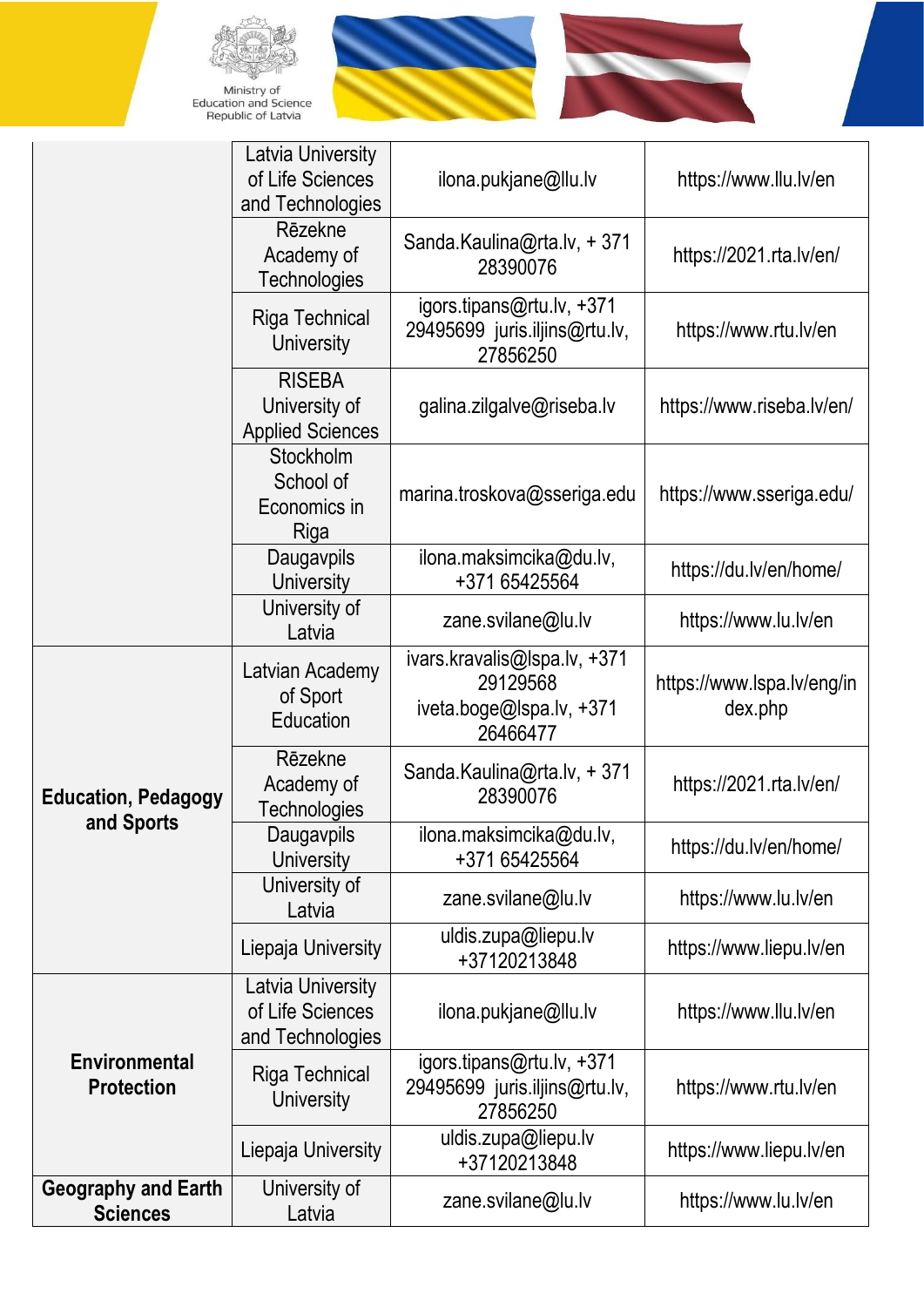

Ministry of<br>Education and Science<br>Republic of Latvia





|                                               | Latvia University<br>of Life Sciences<br>and Technologies | ilona.pukjane@llu.lv                                                             | https://www.llu.lv/en                 |
|-----------------------------------------------|-----------------------------------------------------------|----------------------------------------------------------------------------------|---------------------------------------|
|                                               | Rēzekne<br>Academy of<br><b>Technologies</b>              | Sanda.Kaulina@rta.lv, +371<br>28390076                                           | https://2021.rta.lv/en/               |
|                                               | <b>Riga Technical</b><br><b>University</b>                | igors.tipans@rtu.lv, +371<br>29495699 juris.iljins@rtu.lv,<br>27856250           | https://www.rtu.lv/en                 |
|                                               | <b>RISEBA</b><br>University of<br><b>Applied Sciences</b> | galina.zilgalve@riseba.lv                                                        | https://www.riseba.lv/en/             |
|                                               | <b>Stockholm</b><br>School of<br>Economics in<br>Riga     | marina.troskova@sseriga.edu                                                      | https://www.sseriga.edu/              |
|                                               | Daugavpils<br><b>University</b>                           | ilona.maksimcika@du.lv,<br>+371 65425564                                         | https://du.lv/en/home/                |
|                                               | University of<br>Latvia                                   | zane.svilane@lu.lv                                                               | https://www.lu.lv/en                  |
|                                               | Latvian Academy<br>of Sport<br>Education                  | ivars.kravalis@lspa.lv, +371<br>29129568<br>iveta.boge@Ispa.lv, +371<br>26466477 | https://www.lspa.lv/eng/in<br>dex.php |
| <b>Education, Pedagogy</b>                    | Rēzekne<br>Academy of<br><b>Technologies</b>              | Sanda.Kaulina@rta.lv, +371<br>28390076                                           | https://2021.rta.lv/en/               |
| and Sports                                    | Daugavpils<br>University                                  | ilona.maksimcika@du.lv,<br>+371 65425564                                         | https://du.lv/en/home/                |
|                                               | University of<br>Latvia                                   | zane.svilane@lu.lv                                                               | https://www.lu.lv/en                  |
|                                               | Liepaja University                                        | uldis.zupa@liepu.lv<br>+37120213848                                              | https://www.liepu.lv/en               |
| Environmental<br><b>Protection</b>            | Latvia University<br>of Life Sciences<br>and Technologies | ilona.pukjane@llu.lv                                                             | https://www.llu.lv/en                 |
|                                               | Riga Technical<br>University                              | igors.tipans@rtu.lv, +371<br>29495699 juris.iljins@rtu.lv,<br>27856250           | https://www.rtu.lv/en                 |
|                                               | Liepaja University                                        | uldis.zupa@liepu.lv<br>+37120213848                                              | https://www.liepu.lv/en               |
| <b>Geography and Earth</b><br><b>Sciences</b> | University of<br>Latvia                                   | zane.svilane@lu.lv                                                               | https://www.lu.lv/en                  |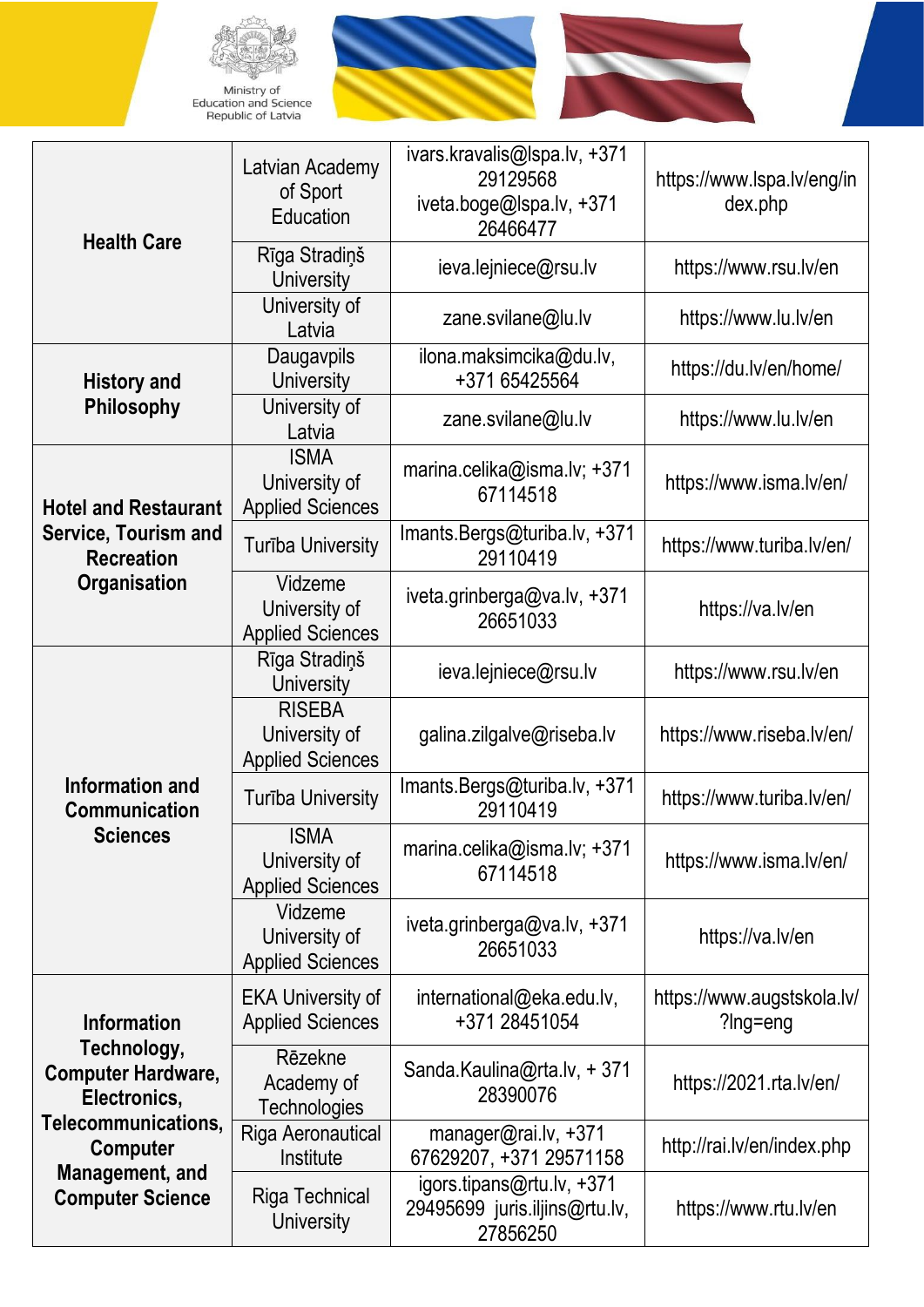





| <b>Health Care</b>                                                                                                                               | Latvian Academy<br>of Sport<br>Education                  | ivars.kravalis@lspa.lv, +371<br>29129568<br>iveta.boge@lspa.lv, +371<br>26466477 | https://www.lspa.lv/eng/in<br>dex.php       |
|--------------------------------------------------------------------------------------------------------------------------------------------------|-----------------------------------------------------------|----------------------------------------------------------------------------------|---------------------------------------------|
|                                                                                                                                                  | Rīga Stradiņš<br><b>University</b>                        | ieva.lejniece@rsu.lv                                                             | https://www.rsu.lv/en                       |
|                                                                                                                                                  | University of<br>Latvia                                   | zane.svilane@lu.lv                                                               | https://www.lu.lv/en                        |
| <b>History and</b>                                                                                                                               | Daugavpils<br><b>University</b>                           | ilona.maksimcika@du.lv,<br>+371 65425564                                         | https://du.lv/en/home/                      |
| <b>Philosophy</b>                                                                                                                                | University of<br>Latvia                                   | zane.svilane@lu.lv                                                               | https://www.lu.lv/en                        |
| <b>Hotel and Restaurant</b>                                                                                                                      | <b>ISMA</b><br>University of<br><b>Applied Sciences</b>   | marina.celika@isma.lv; +371<br>67114518                                          | https://www.isma.lv/en/                     |
| <b>Service, Tourism and</b><br><b>Recreation</b>                                                                                                 | <b>Turība University</b>                                  | Imants.Bergs@turiba.lv, +371<br>29110419                                         | https://www.turiba.lv/en/                   |
| Organisation                                                                                                                                     | Vidzeme<br>University of<br><b>Applied Sciences</b>       | iveta.grinberga@va.lv, +371<br>26651033                                          | https://va.lv/en                            |
|                                                                                                                                                  | Rīga Stradiņš<br><b>University</b>                        | ieva.lejniece@rsu.lv                                                             | https://www.rsu.lv/en                       |
|                                                                                                                                                  | <b>RISEBA</b><br>University of<br><b>Applied Sciences</b> | galina.zilgalve@riseba.lv                                                        | https://www.riseba.lv/en/                   |
| Information and<br><b>Communication</b>                                                                                                          | <b>Turība University</b>                                  | Imants.Bergs@turiba.lv, +371<br>29110419                                         | https://www.turiba.lv/en/                   |
| <b>Sciences</b>                                                                                                                                  | <b>ISMA</b><br>University of<br><b>Applied Sciences</b>   | marina.celika@isma.lv; +371<br>67114518                                          | https://www.isma.lv/en/                     |
|                                                                                                                                                  | Vidzeme<br>University of<br><b>Applied Sciences</b>       | iveta.grinberga@va.lv, +371<br>26651033                                          | https://va.lv/en                            |
| <b>Information</b>                                                                                                                               | <b>EKA University of</b><br><b>Applied Sciences</b>       | international@eka.edu.lv,<br>+371 28451054                                       | https://www.augstskola.lv/<br>? $Ing = eng$ |
| Technology,<br><b>Computer Hardware,</b><br>Electronics,<br><b>Telecommunications,</b><br>Computer<br>Management, and<br><b>Computer Science</b> | Rēzekne<br>Academy of<br><b>Technologies</b>              | Sanda.Kaulina@rta.lv, +371<br>28390076                                           | https://2021.rta.lv/en/                     |
|                                                                                                                                                  | <b>Riga Aeronautical</b><br>Institute                     | manager@rai.lv, +371<br>67629207, +371 29571158                                  | http://rai.lv/en/index.php                  |
|                                                                                                                                                  | Riga Technical<br><b>University</b>                       | igors.tipans@rtu.lv, +371<br>29495699 juris.iljins@rtu.lv,<br>27856250           | https://www.rtu.lv/en                       |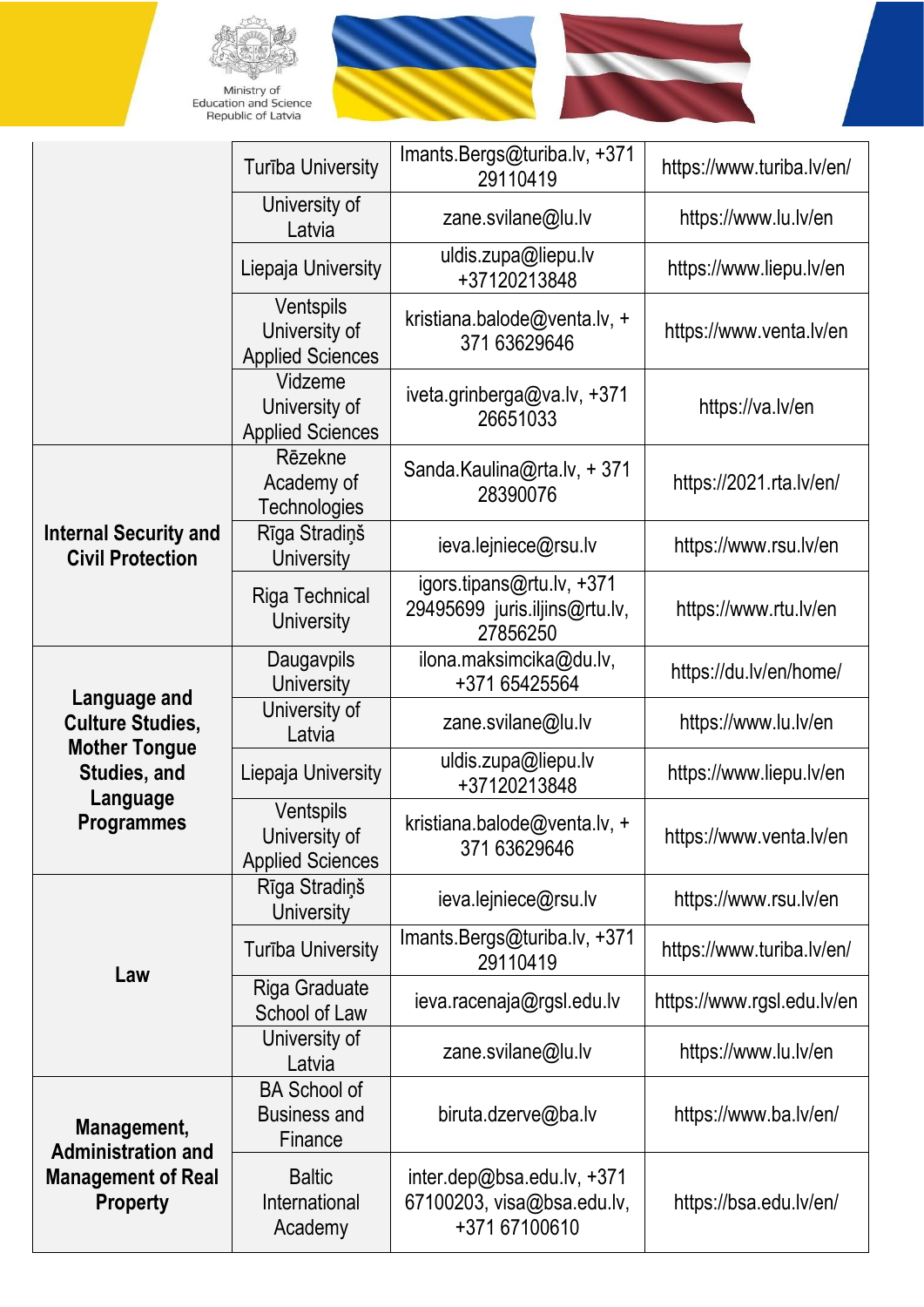

Ministry of<br>Education and Science<br>Republic of Latvia





|                                                                                                                  | <b>Turība University</b>                              | Imants.Bergs@turiba.lv, +371<br>29110419                                  | https://www.turiba.lv/en/  |
|------------------------------------------------------------------------------------------------------------------|-------------------------------------------------------|---------------------------------------------------------------------------|----------------------------|
|                                                                                                                  | University of<br>Latvia                               | zane.svilane@lu.lv                                                        | https://www.lu.lv/en       |
|                                                                                                                  | Liepaja University                                    | uldis.zupa@liepu.lv<br>+37120213848                                       | https://www.liepu.lv/en    |
|                                                                                                                  | Ventspils<br>University of<br><b>Applied Sciences</b> | kristiana.balode@venta.lv, +<br>371 63629646                              | https://www.venta.lv/en    |
|                                                                                                                  | Vidzeme<br>University of<br><b>Applied Sciences</b>   | iveta.grinberga@va.lv, +371<br>26651033                                   | https://va.lv/en           |
|                                                                                                                  | Rēzekne<br>Academy of<br><b>Technologies</b>          | Sanda.Kaulina@rta.lv, +371<br>28390076                                    | https://2021.rta.lv/en/    |
| <b>Internal Security and</b><br><b>Civil Protection</b>                                                          | Rīga Stradiņš<br><b>University</b>                    | ieva.lejniece@rsu.lv                                                      | https://www.rsu.lv/en      |
|                                                                                                                  | Riga Technical<br><b>University</b>                   | igors.tipans@rtu.lv, +371<br>29495699 juris.iljins@rtu.lv,<br>27856250    | https://www.rtu.lv/en      |
|                                                                                                                  | Daugavpils<br><b>University</b>                       | ilona.maksimcika@du.lv,<br>+371 65425564                                  | https://du.lv/en/home/     |
| Language and<br><b>Culture Studies,</b><br><b>Mother Tongue</b><br>Studies, and<br>Language<br><b>Programmes</b> | University of<br>Latvia                               | zane.svilane@lu.lv                                                        | https://www.lu.lv/en       |
|                                                                                                                  | Liepaja University                                    | uldis.zupa@liepu.lv<br>+37120213848                                       | https://www.liepu.lv/en    |
|                                                                                                                  | Ventspils<br>University of<br><b>Applied Sciences</b> | kristiana.balode@venta.lv, +<br>371 63629646                              | https://www.venta.lv/en    |
| Law                                                                                                              | Rīga Stradiņš<br><b>University</b>                    | ieva.lejniece@rsu.lv                                                      | https://www.rsu.lv/en      |
|                                                                                                                  | <b>Turiba University</b>                              | Imants.Bergs@turiba.lv, +371<br>29110419                                  | https://www.turiba.lv/en/  |
|                                                                                                                  | Riga Graduate<br>School of Law                        | ieva.racenaja@rgsl.edu.lv                                                 | https://www.rgsl.edu.lv/en |
|                                                                                                                  | University of<br>Latvia                               | zane.svilane@lu.lv                                                        | https://www.lu.lv/en       |
| Management,<br><b>Administration and</b><br><b>Management of Real</b><br><b>Property</b>                         | <b>BA School of</b><br><b>Business and</b><br>Finance | biruta.dzerve@ba.lv                                                       | https://www.ba.lv/en/      |
|                                                                                                                  | <b>Baltic</b><br>International<br>Academy             | inter.dep@bsa.edu.lv, +371<br>67100203, visa@bsa.edu.lv,<br>+371 67100610 | https://bsa.edu.lv/en/     |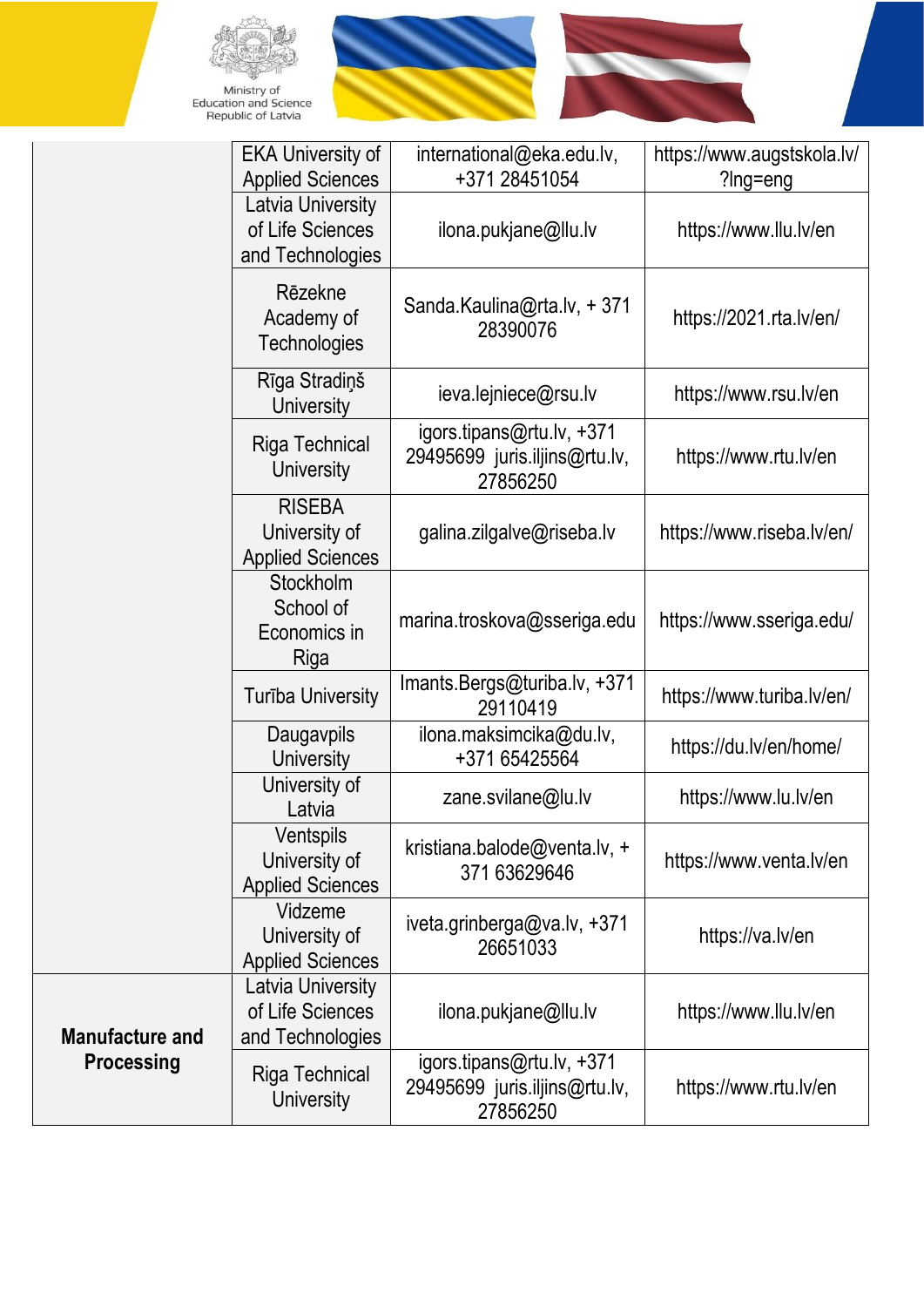

Ministry of<br>Education and Science<br>Republic of Latvia





|                                      | <b>EKA University of</b><br><b>Applied Sciences</b>       | international@eka.edu.lv,<br>+371 28451054                             | https://www.augstskola.lv/<br>?Ing=eng |
|--------------------------------------|-----------------------------------------------------------|------------------------------------------------------------------------|----------------------------------------|
|                                      | Latvia University<br>of Life Sciences<br>and Technologies | ilona.pukjane@llu.lv                                                   | https://www.llu.lv/en                  |
|                                      | Rēzekne<br>Academy of<br><b>Technologies</b>              | Sanda.Kaulina@rta.lv, +371<br>28390076                                 | https://2021.rta.lv/en/                |
|                                      | Rīga Stradiņš<br><b>University</b>                        | ieva.lejniece@rsu.lv                                                   | https://www.rsu.lv/en                  |
|                                      | Riga Technical<br>University                              | igors.tipans@rtu.lv, +371<br>29495699 juris.iljins@rtu.lv,<br>27856250 | https://www.rtu.lv/en                  |
|                                      | <b>RISEBA</b><br>University of<br><b>Applied Sciences</b> | galina.zilgalve@riseba.lv                                              | https://www.riseba.lv/en/              |
|                                      | Stockholm<br>School of<br>Economics in<br>Riga            | marina.troskova@sseriga.edu                                            | https://www.sseriga.edu/               |
|                                      | <b>Turība University</b>                                  | Imants.Bergs@turiba.lv, +371<br>29110419                               | https://www.turiba.lv/en/              |
|                                      | Daugavpils<br>University                                  | ilona.maksimcika@du.lv,<br>+371 65425564                               | https://du.lv/en/home/                 |
|                                      | University of<br>Latvia                                   | zane.svilane@lu.lv                                                     | https://www.lu.lv/en                   |
|                                      | Ventspils<br>University of<br><b>Applied Sciences</b>     | kristiana.balode@venta.lv, +<br>371 63629646                           | https://www.venta.lv/en                |
|                                      | Vidzeme<br>University of<br><b>Applied Sciences</b>       | iveta.grinberga@va.lv, +371<br>26651033                                | https://va.lv/en                       |
| Manufacture and<br><b>Processing</b> | Latvia University<br>of Life Sciences<br>and Technologies | ilona.pukjane@llu.lv                                                   | https://www.llu.lv/en                  |
|                                      | Riga Technical<br><b>University</b>                       | igors.tipans@rtu.lv, +371<br>29495699 juris.iljins@rtu.lv,<br>27856250 | https://www.rtu.lv/en                  |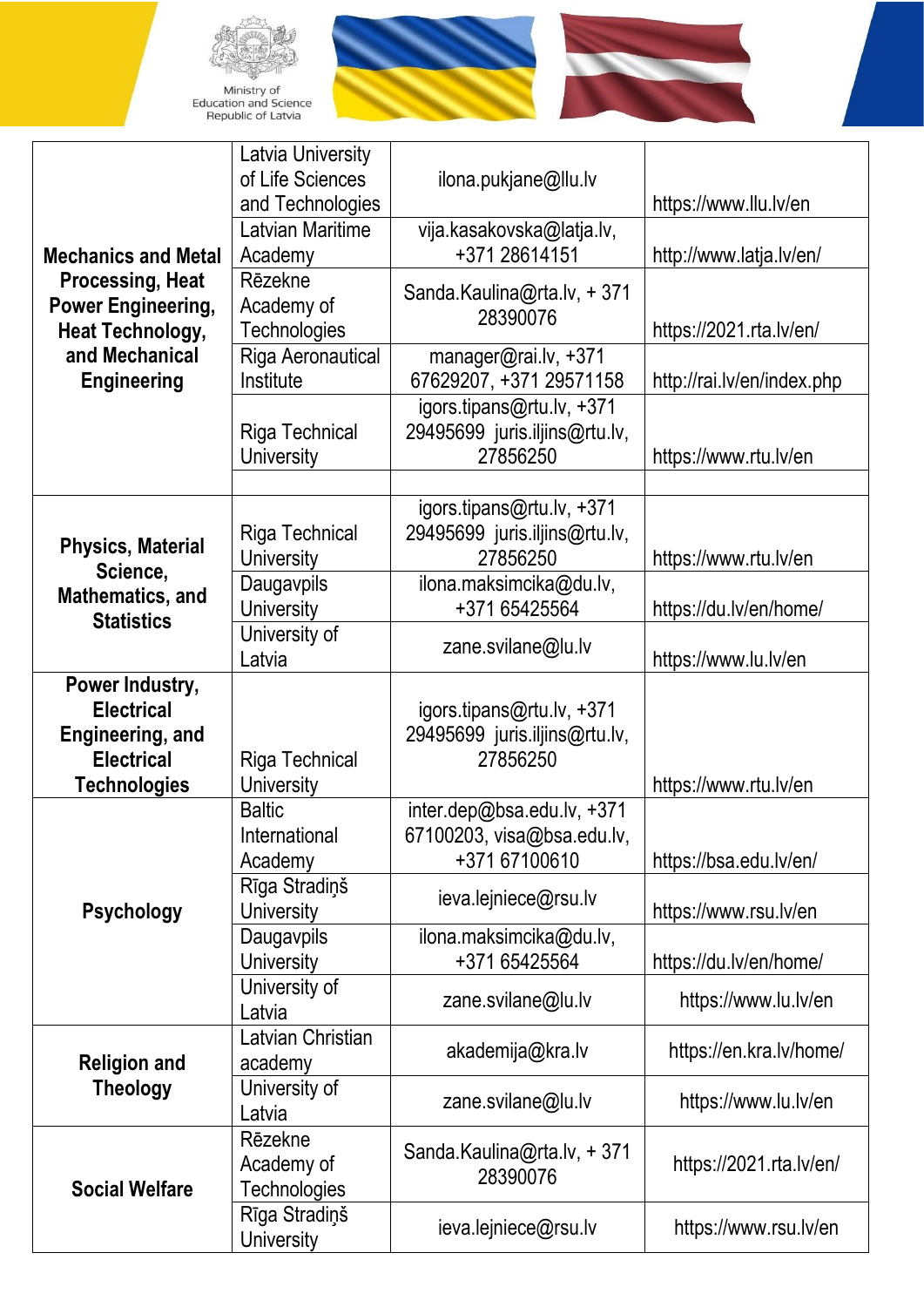





| <b>Mechanics and Metal</b><br><b>Processing, Heat</b><br><b>Power Engineering,</b><br><b>Heat Technology,</b> | Latvia University<br>of Life Sciences        | ilona.pukjane@llu.lv                                                      |                            |
|---------------------------------------------------------------------------------------------------------------|----------------------------------------------|---------------------------------------------------------------------------|----------------------------|
|                                                                                                               | and Technologies                             |                                                                           | https://www.llu.lv/en      |
|                                                                                                               | <b>Latvian Maritime</b><br>Academy           | vija.kasakovska@latja.lv,<br>+371 28614151                                | http://www.latja.lv/en/    |
|                                                                                                               | Rēzekne<br>Academy of<br><b>Technologies</b> | Sanda.Kaulina@rta.lv, +371<br>28390076                                    | https://2021.rta.lv/en/    |
| and Mechanical<br><b>Engineering</b>                                                                          | Riga Aeronautical<br>Institute               | manager@rai.lv, +371<br>67629207, +371 29571158                           | http://rai.lv/en/index.php |
|                                                                                                               | Riga Technical<br><b>University</b>          | igors.tipans@rtu.lv, +371<br>29495699 juris.iljins@rtu.lv,<br>27856250    | https://www.rtu.lv/en      |
|                                                                                                               |                                              | igors.tipans@rtu.lv, +371                                                 |                            |
| <b>Physics, Material</b>                                                                                      | Riga Technical<br><b>University</b>          | 29495699 juris.iljins@rtu.lv,<br>27856250                                 | https://www.rtu.lv/en      |
| Science,<br>Mathematics, and<br><b>Statistics</b>                                                             | Daugavpils<br><b>University</b>              | ilona.maksimcika@du.lv,<br>+371 65425564                                  | https://du.lv/en/home/     |
|                                                                                                               | University of<br>Latvia                      | zane.svilane@lu.lv                                                        | https://www.lu.lv/en       |
| Power Industry,<br><b>Electrical</b><br><b>Engineering, and</b><br><b>Electrical</b><br><b>Technologies</b>   | Riga Technical<br>University                 | igors.tipans@rtu.lv, +371<br>29495699 juris.iljins@rtu.lv,<br>27856250    | https://www.rtu.lv/en      |
|                                                                                                               | <b>Baltic</b><br>International<br>Academy    | inter.dep@bsa.edu.lv, +371<br>67100203, visa@bsa.edu.lv,<br>+371 67100610 | https://bsa.edu.lv/en/     |
| <b>Psychology</b>                                                                                             | Rīga Stradiņš<br><b>University</b>           | ieva.lejniece@rsu.lv                                                      | https://www.rsu.lv/en      |
|                                                                                                               | <b>Daugavpils</b><br>University              | ilona.maksimcika@du.lv,<br>+371 65425564                                  | https://du.lv/en/home/     |
|                                                                                                               | University of<br>Latvia                      | zane.svilane@lu.lv                                                        | https://www.lu.lv/en       |
| <b>Religion and</b><br><b>Theology</b>                                                                        | Latvian Christian<br>academy                 | akademija@kra.lv                                                          | https://en.kra.lv/home/    |
|                                                                                                               | University of<br>Latvia                      | zane.svilane@lu.lv                                                        | https://www.lu.lv/en       |
| <b>Social Welfare</b>                                                                                         | Rēzekne<br>Academy of<br><b>Technologies</b> | Sanda.Kaulina@rta.lv, +371<br>28390076                                    | https://2021.rta.lv/en/    |
|                                                                                                               | Rīga Stradiņš<br><b>University</b>           | ieva.lejniece@rsu.lv                                                      | https://www.rsu.lv/en      |